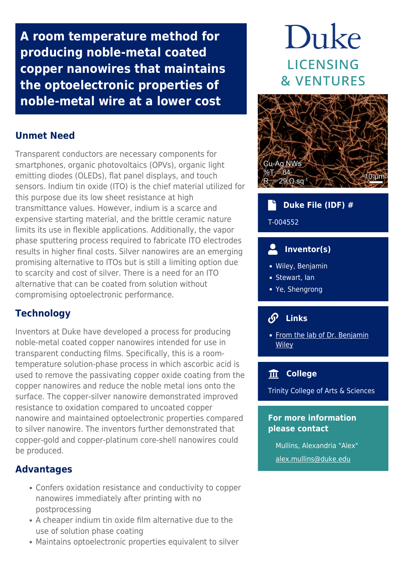**A room temperature method for producing noble-metal coated copper nanowires that maintains the optoelectronic properties of noble-metal wire at a lower cost**

### **Unmet Need**

Transparent conductors are necessary components for smartphones, organic photovoltaics (OPVs), organic light emitting diodes (OLEDs), flat panel displays, and touch sensors. Indium tin oxide (ITO) is the chief material utilized for this purpose due its low sheet resistance at high transmittance values. However, indium is a scarce and expensive starting material, and the brittle ceramic nature limits its use in flexible applications. Additionally, the vapor phase sputtering process required to fabricate ITO electrodes results in higher final costs. Silver nanowires are an emerging promising alternative to ITOs but is still a limiting option due to scarcity and cost of silver. There is a need for an ITO alternative that can be coated from solution without compromising optoelectronic performance.

## **Technology**

Inventors at Duke have developed a process for producing noble-metal coated copper nanowires intended for use in transparent conducting films. Specifically, this is a roomtemperature solution-phase process in which ascorbic acid is used to remove the passivating copper oxide coating from the copper nanowires and reduce the noble metal ions onto the surface. The copper-silver nanowire demonstrated improved resistance to oxidation compared to uncoated copper nanowire and maintained optoelectronic properties compared to silver nanowire. The inventors further demonstrated that copper-gold and copper-platinum core-shell nanowires could be produced.

#### **Advantages**

- Confers oxidation resistance and conductivity to copper nanowires immediately after printing with no postprocessing
- A cheaper indium tin oxide film alternative due to the use of solution phase coating
- Maintains optoelectronic properties equivalent to silver

# Duke **LICENSING & VENTURES**



# **Duke File (IDF) #** T-004552

# **Inventor(s)**

- Wiley, Benjamin
- Stewart, Ian
- Ye, Shengrong

# **Links**

• [From the lab of Dr. Benjamin](http://www.wileylab.org/) **[Wiley](http://www.wileylab.org/)** 

# **College**

Trinity College of Arts & Sciences

#### **For more information please contact**

Mullins, Alexandria "Alex" [alex.mullins@duke.edu](mailto:alex.mullins@duke.edu)